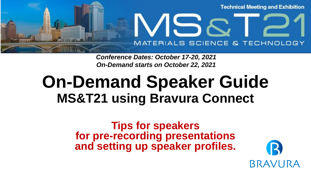

*Conference Dates: October 17-20, 2021 On-Demand starts on October 22, 2021*

## **On-Demand Speaker Guide MS&T21 using Bravura Connect**

**Tips for speakers for pre-recording presentations and setting up speaker profiles.**

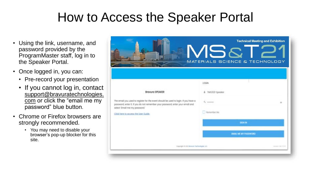### How to Access the Speaker Portal

- Using the link, username, and password provided by the ProgramMaster staff, log in to the Speaker Portal.
- Once logged in, you can:
	- Pre-record your presentation
	- If you cannot log in, contact [support@bravuratechnologies.](mailto:support@bravuratechnologies.com) com or click the "email me my password" blue button.
- Chrome or Firefox browsers are strongly recommended.
	- You may need to disable your browser's pop-up blocker for this site.

| <b>STILLING COMPANY</b><br><b>BETWEEN</b><br><b>TALLET TO BE</b>                                                                                                                                       | VISR<br>MATERIALS SCIENCE & TECHNOLOGY | <b>Technical Meeting and Exhibition</b> |
|--------------------------------------------------------------------------------------------------------------------------------------------------------------------------------------------------------|----------------------------------------|-----------------------------------------|
|                                                                                                                                                                                                        | LOGIN                                  |                                         |
| <b>Brovuro SPEAKER</b>                                                                                                                                                                                 | & TM12021 Speaker                      |                                         |
| The email you used to register for the event should be used to login. If you have a<br>possword, enter it. If you do not remember your possword, enter your email and<br>select Imali me my possword." | U <sub>n</sub> awarene                 |                                         |
| Click here to necess the User Guide.                                                                                                                                                                   | <b>Demonter We</b>                     |                                         |
|                                                                                                                                                                                                        | SIGN IN                                |                                         |
|                                                                                                                                                                                                        | ENAIL ME MY PASSWORD                   |                                         |
| Copyright 6 (22) Bronard Technologies (22).                                                                                                                                                            |                                        | <b>Seatt 32.73 K</b>                    |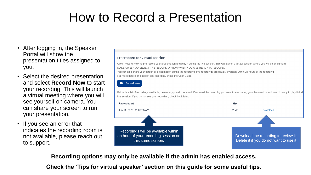### How to Record a Presentation

- After logging in, the Speaker Portal will show the presentation titles assigned to you.
- Select the desired presentation and select **Record Now** to start your recording. This will launch a virtual meeting where you will see yourself on camera. You can share your screen to run your presentation.
- If you see an error that indicates the recording room is not available, please reach out to support.

#### Pre-record for virtual session

Click "Record Now" to pre-record your presentation and play it during the live session. This will launch a virtual session where you will be on camera. MAKE SURE YOU SELECT THE RECORD OPTION WHEN YOU ARE READY TO RECORD

You can also share your screen or presentation during the recording. Pre-recordings are usually available within 24 hours of the recording. For more details and tips on pre-recording, check the User Guide.

#### **N** Record Now

Below is a list of recordings available, delete any you do not need. Download the recording you want to use during your live session and keep it ready to play it durir live session. If you do not see your recording, check back later.



**Recording options may only be available if the admin has enabled access.** 

**Check the 'Tips for virtual speaker' section on this guide for some useful tips.**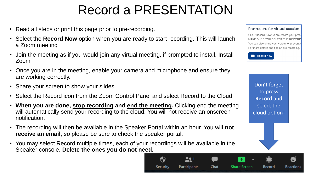### Record a PRESENTATION

- Read all steps or print this page prior to pre-recording.
- Select the **Record Now** option when you are ready to start recording. This will launch a Zoom meeting
- Join the meeting as if you would join any virtual meeting, if prompted to install, Install Zoom
- Once you are in the meeting, enable your camera and microphone and ensure they are working correctly.
- Share your screen to show your slides.
- Select the Record icon from the Zoom Control Panel and select Record to the Cloud.
- **When you are done, stop recording and end the meeting.** Clicking end the meeting will automatically send your recording to the cloud. You will not receive an onscreen notification.
- The recording will then be available in the Speaker Portal within an hour. You will **not receive an email**, so please be sure to check the speaker portal.
- You may select Record multiple times, each of your recordings will be available in the Speaker console. **Delete the ones you do not need.**

#### Pre-record for virtual session

Click "Record Now" to pre-record your prese MAKE SURE YOU SELECT THE RECORD You can also share your screen or presentation For more details and tips on pre-recording,



Don't forget to press **Record** and select the **cloud** option!

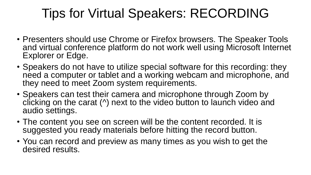### Tips for Virtual Speakers: RECORDING

- Presenters should use Chrome or Firefox browsers. The Speaker Tools and virtual conference platform do not work well using Microsoft Internet Explorer or Edge.
- Speakers do not have to utilize special software for this recording: they need a computer or tablet and a working webcam and microphone, and they need to meet Zoom system requirements.
- Speakers can test their camera and microphone through Zoom by clicking on the carat (^) next to the video button to launch video and audio settings.
- The content you see on screen will be the content recorded. It is suggested you ready materials before hitting the record button.
- You can record and preview as many times as you wish to get the desired results.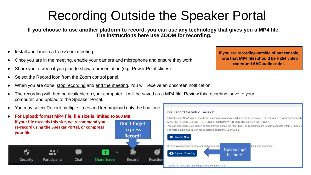### Recording Outside the Speaker Portal

**If you choose to use another platform to record, you can use any technology that gives you a MP4 file. The instructions here use ZOOM for recording.** 

- Install and launch a free Zoom meeting
- Once you are in the meeting, enable your camera and microphone and ensure they work
- Share your screen if you plan to show a presentation (e.g. Power Point slides)
- Select the Record icon from the Zoom control panel.
- When you are done, stop recording and end the meeting. You will receive an onscreen notification.
- The recording will then be available on your computer. It will be saved as a MP4 file. Review this recording, save to your computer, and upload to the Speaker Portal.
- You may select Record multiple times and keep/upload only the final one.



**If you are recording outside of our console, note that MP4 files should be H264 video codec and AAC audio codec.**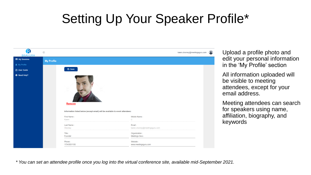### Setting Up Your Speaker Profile\*



Upload a profile photo and edit your personal information in the 'My Profile' section

All information uploaded will be visible to meeting attendees, except for your email address.

Meeting attendees can search for speakers using name, affiliation, biography, and keywords

*\* You can set an attendee profile once you log into the virtual conference site, available mid-September 2021.*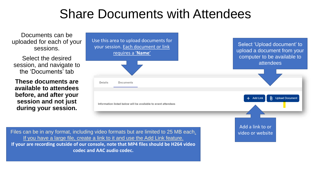### Share Documents with Attendees

Documents can be uploaded for each of your sessions.

Select the desired session, and navigate to the 'Documents' tab

**These documents are available to attendees before, and after your session and not just during your session.**

| Use this area to upload documents for<br>your session. Each document or link<br>requires a 'Name' | Select 'Upload document' to<br>upload a document from your<br>computer to be available to<br>attendees |
|---------------------------------------------------------------------------------------------------|--------------------------------------------------------------------------------------------------------|
| <b>Details</b><br><b>Documents</b>                                                                |                                                                                                        |
| Information listed below will be available to event attendees                                     | $\mathbf{r}$<br><b>Upload Document</b><br>$+$ Add Link                                                 |
|                                                                                                   | Add a link to or                                                                                       |

Files can be in any format, including video formats but are limited to 25 MB each. Video or website If you have a large file, create a link to it and use the Add Link feature. **If your are recording outside of our console, note that MP4 files should be H264 video codec and AAC audio codec.**